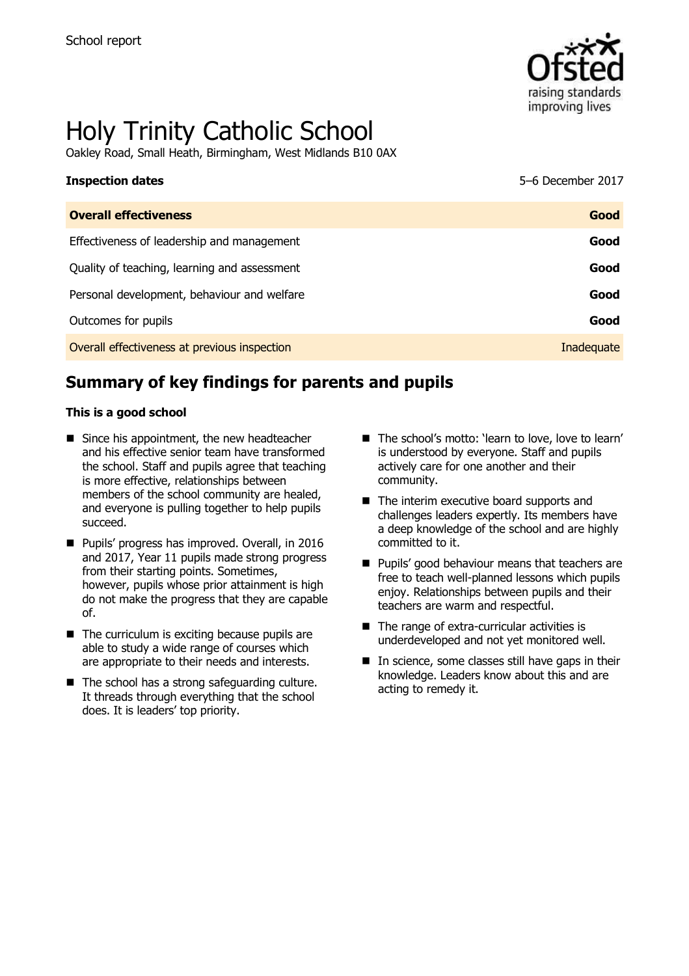

# Holy Trinity Catholic School

Oakley Road, Small Heath, Birmingham, West Midlands B10 0AX

| <b>Inspection dates</b>                      | 5-6 December 2017 |
|----------------------------------------------|-------------------|
| <b>Overall effectiveness</b>                 | Good              |
| Effectiveness of leadership and management   | Good              |
| Quality of teaching, learning and assessment | Good              |
| Personal development, behaviour and welfare  | Good              |
| Outcomes for pupils                          | Good              |
| Overall effectiveness at previous inspection | Inadequate        |

# **Summary of key findings for parents and pupils**

#### **This is a good school**

- Since his appointment, the new headteacher and his effective senior team have transformed the school. Staff and pupils agree that teaching is more effective, relationships between members of the school community are healed, and everyone is pulling together to help pupils succeed.
- **Pupils' progress has improved. Overall, in 2016** and 2017, Year 11 pupils made strong progress from their starting points. Sometimes, however, pupils whose prior attainment is high do not make the progress that they are capable of.
- $\blacksquare$  The curriculum is exciting because pupils are able to study a wide range of courses which are appropriate to their needs and interests.
- The school has a strong safeguarding culture. It threads through everything that the school does. It is leaders' top priority.
- The school's motto: 'learn to love, love to learn' is understood by everyone. Staff and pupils actively care for one another and their community.
- The interim executive board supports and challenges leaders expertly. Its members have a deep knowledge of the school and are highly committed to it.
- **Pupils' good behaviour means that teachers are** free to teach well-planned lessons which pupils enjoy. Relationships between pupils and their teachers are warm and respectful.
- The range of extra-curricular activities is underdeveloped and not yet monitored well.
- $\blacksquare$  In science, some classes still have gaps in their knowledge. Leaders know about this and are acting to remedy it.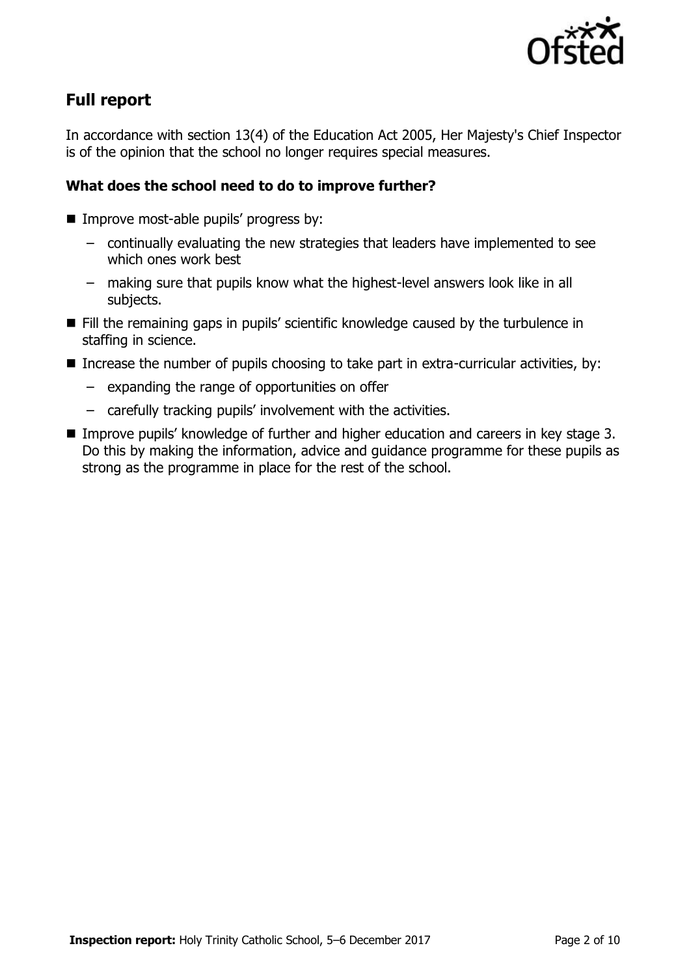

# **Full report**

In accordance with section 13(4) of the Education Act 2005, Her Majesty's Chief Inspector is of the opinion that the school no longer requires special measures.

## **What does the school need to do to improve further?**

- **Improve most-able pupils' progress by:** 
	- continually evaluating the new strategies that leaders have implemented to see which ones work best
	- making sure that pupils know what the highest-level answers look like in all subjects.
- Fill the remaining gaps in pupils' scientific knowledge caused by the turbulence in staffing in science.
- **Increase the number of pupils choosing to take part in extra-curricular activities, by:** 
	- expanding the range of opportunities on offer
	- carefully tracking pupils' involvement with the activities.
- Improve pupils' knowledge of further and higher education and careers in key stage 3. Do this by making the information, advice and guidance programme for these pupils as strong as the programme in place for the rest of the school.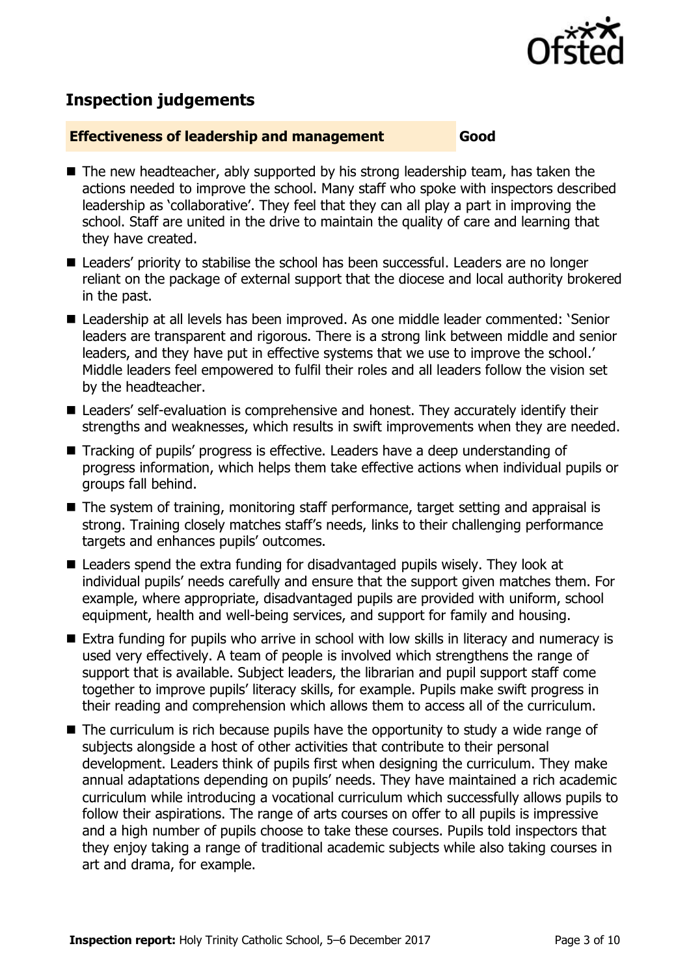

## **Inspection judgements**

#### **Effectiveness of leadership and management Good**

- The new headteacher, ably supported by his strong leadership team, has taken the actions needed to improve the school. Many staff who spoke with inspectors described leadership as 'collaborative'. They feel that they can all play a part in improving the school. Staff are united in the drive to maintain the quality of care and learning that they have created.
	- Leaders' priority to stabilise the school has been successful. Leaders are no longer reliant on the package of external support that the diocese and local authority brokered in the past.
	- Leadership at all levels has been improved. As one middle leader commented: 'Senior leaders are transparent and rigorous. There is a strong link between middle and senior leaders, and they have put in effective systems that we use to improve the school.' Middle leaders feel empowered to fulfil their roles and all leaders follow the vision set by the headteacher.
	- Leaders' self-evaluation is comprehensive and honest. They accurately identify their strengths and weaknesses, which results in swift improvements when they are needed.
	- Tracking of pupils' progress is effective. Leaders have a deep understanding of progress information, which helps them take effective actions when individual pupils or groups fall behind.
	- The system of training, monitoring staff performance, target setting and appraisal is strong. Training closely matches staff's needs, links to their challenging performance targets and enhances pupils' outcomes.
	- Leaders spend the extra funding for disadvantaged pupils wisely. They look at individual pupils' needs carefully and ensure that the support given matches them. For example, where appropriate, disadvantaged pupils are provided with uniform, school equipment, health and well-being services, and support for family and housing.
	- Extra funding for pupils who arrive in school with low skills in literacy and numeracy is used very effectively. A team of people is involved which strengthens the range of support that is available. Subject leaders, the librarian and pupil support staff come together to improve pupils' literacy skills, for example. Pupils make swift progress in their reading and comprehension which allows them to access all of the curriculum.
	- $\blacksquare$  The curriculum is rich because pupils have the opportunity to study a wide range of subjects alongside a host of other activities that contribute to their personal development. Leaders think of pupils first when designing the curriculum. They make annual adaptations depending on pupils' needs. They have maintained a rich academic curriculum while introducing a vocational curriculum which successfully allows pupils to follow their aspirations. The range of arts courses on offer to all pupils is impressive and a high number of pupils choose to take these courses. Pupils told inspectors that they enjoy taking a range of traditional academic subjects while also taking courses in art and drama, for example.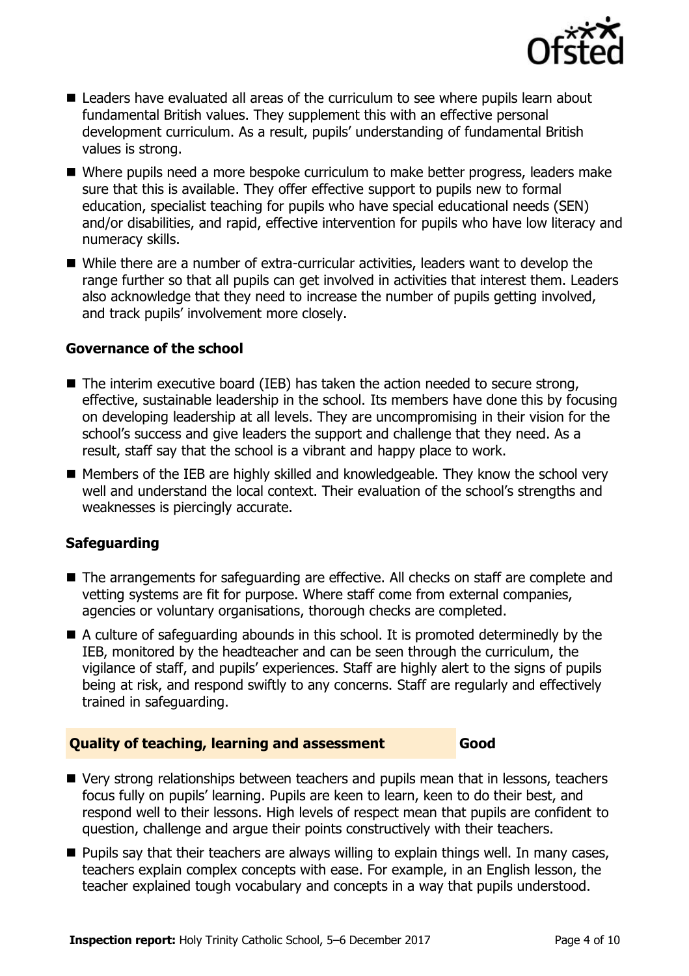

- Leaders have evaluated all areas of the curriculum to see where pupils learn about fundamental British values. They supplement this with an effective personal development curriculum. As a result, pupils' understanding of fundamental British values is strong.
- Where pupils need a more bespoke curriculum to make better progress, leaders make sure that this is available. They offer effective support to pupils new to formal education, specialist teaching for pupils who have special educational needs (SEN) and/or disabilities, and rapid, effective intervention for pupils who have low literacy and numeracy skills.
- While there are a number of extra-curricular activities, leaders want to develop the range further so that all pupils can get involved in activities that interest them. Leaders also acknowledge that they need to increase the number of pupils getting involved, and track pupils' involvement more closely.

#### **Governance of the school**

- $\blacksquare$  The interim executive board (IEB) has taken the action needed to secure strong, effective, sustainable leadership in the school. Its members have done this by focusing on developing leadership at all levels. They are uncompromising in their vision for the school's success and give leaders the support and challenge that they need. As a result, staff say that the school is a vibrant and happy place to work.
- Members of the IEB are highly skilled and knowledgeable. They know the school very well and understand the local context. Their evaluation of the school's strengths and weaknesses is piercingly accurate.

## **Safeguarding**

- The arrangements for safeguarding are effective. All checks on staff are complete and vetting systems are fit for purpose. Where staff come from external companies, agencies or voluntary organisations, thorough checks are completed.
- $\blacksquare$  A culture of safeguarding abounds in this school. It is promoted determinedly by the IEB, monitored by the headteacher and can be seen through the curriculum, the vigilance of staff, and pupils' experiences. Staff are highly alert to the signs of pupils being at risk, and respond swiftly to any concerns. Staff are regularly and effectively trained in safeguarding.

#### **Quality of teaching, learning and assessment Good**

- Very strong relationships between teachers and pupils mean that in lessons, teachers focus fully on pupils' learning. Pupils are keen to learn, keen to do their best, and respond well to their lessons. High levels of respect mean that pupils are confident to question, challenge and argue their points constructively with their teachers.
- **Pupils say that their teachers are always willing to explain things well. In many cases,** teachers explain complex concepts with ease. For example, in an English lesson, the teacher explained tough vocabulary and concepts in a way that pupils understood.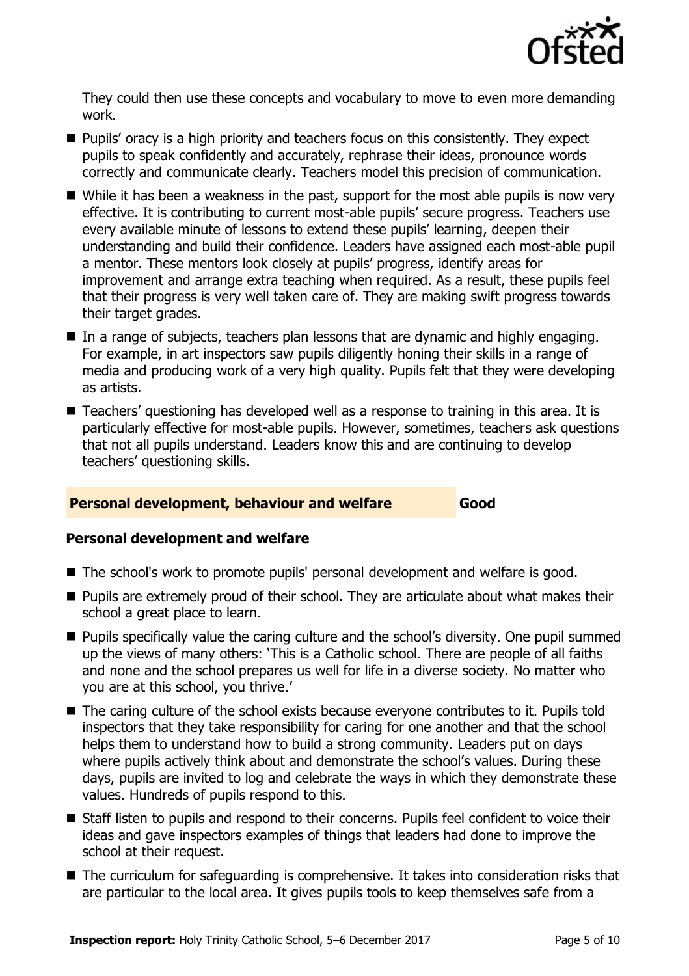

They could then use these concepts and vocabulary to move to even more demanding work.

- **Pupils'** oracy is a high priority and teachers focus on this consistently. They expect pupils to speak confidently and accurately, rephrase their ideas, pronounce words correctly and communicate clearly. Teachers model this precision of communication.
- While it has been a weakness in the past, support for the most able pupils is now very effective. It is contributing to current most-able pupils' secure progress. Teachers use every available minute of lessons to extend these pupils' learning, deepen their understanding and build their confidence. Leaders have assigned each most-able pupil a mentor. These mentors look closely at pupils' progress, identify areas for improvement and arrange extra teaching when required. As a result, these pupils feel that their progress is very well taken care of. They are making swift progress towards their target grades.
- In a range of subjects, teachers plan lessons that are dynamic and highly engaging. For example, in art inspectors saw pupils diligently honing their skills in a range of media and producing work of a very high quality. Pupils felt that they were developing as artists.
- Teachers' questioning has developed well as a response to training in this area. It is particularly effective for most-able pupils. However, sometimes, teachers ask questions that not all pupils understand. Leaders know this and are continuing to develop teachers' questioning skills.

## **Personal development, behaviour and welfare Good**

#### **Personal development and welfare**

- The school's work to promote pupils' personal development and welfare is good.
- **Pupils are extremely proud of their school. They are articulate about what makes their** school a great place to learn.
- **Pupils specifically value the caring culture and the school's diversity. One pupil summed** up the views of many others: 'This is a Catholic school. There are people of all faiths and none and the school prepares us well for life in a diverse society. No matter who you are at this school, you thrive.'
- The caring culture of the school exists because everyone contributes to it. Pupils told inspectors that they take responsibility for caring for one another and that the school helps them to understand how to build a strong community. Leaders put on days where pupils actively think about and demonstrate the school's values. During these days, pupils are invited to log and celebrate the ways in which they demonstrate these values. Hundreds of pupils respond to this.
- Staff listen to pupils and respond to their concerns. Pupils feel confident to voice their ideas and gave inspectors examples of things that leaders had done to improve the school at their request.
- The curriculum for safeguarding is comprehensive. It takes into consideration risks that are particular to the local area. It gives pupils tools to keep themselves safe from a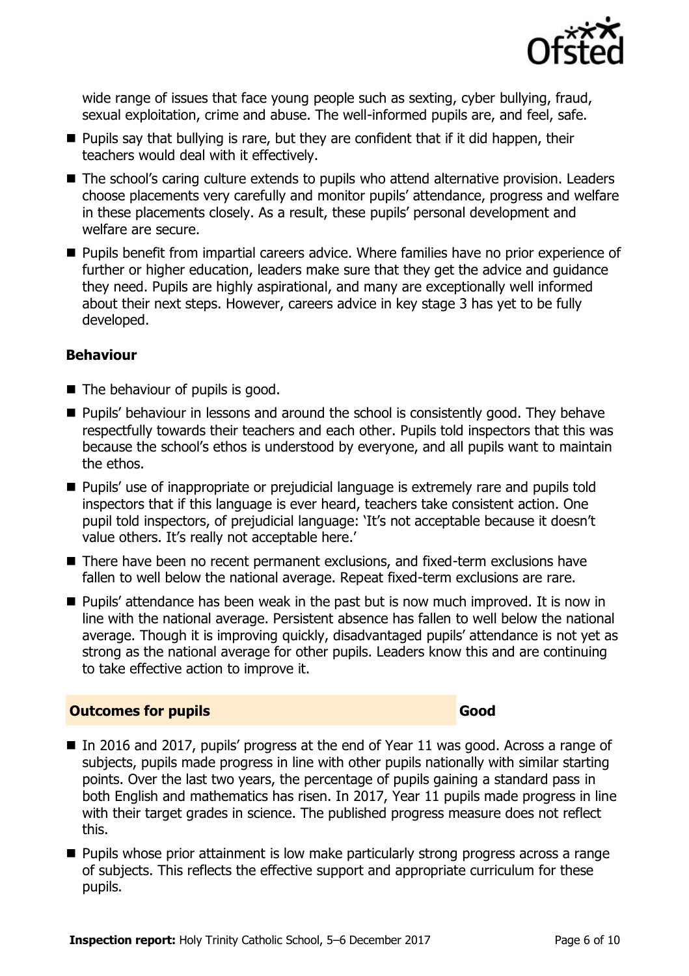

wide range of issues that face young people such as sexting, cyber bullying, fraud, sexual exploitation, crime and abuse. The well-informed pupils are, and feel, safe.

- $\blacksquare$  Pupils say that bullying is rare, but they are confident that if it did happen, their teachers would deal with it effectively.
- The school's caring culture extends to pupils who attend alternative provision. Leaders choose placements very carefully and monitor pupils' attendance, progress and welfare in these placements closely. As a result, these pupils' personal development and welfare are secure.
- **Pupils benefit from impartial careers advice. Where families have no prior experience of** further or higher education, leaders make sure that they get the advice and guidance they need. Pupils are highly aspirational, and many are exceptionally well informed about their next steps. However, careers advice in key stage 3 has yet to be fully developed.

#### **Behaviour**

- $\blacksquare$  The behaviour of pupils is good.
- **Pupils' behaviour in lessons and around the school is consistently good. They behave** respectfully towards their teachers and each other. Pupils told inspectors that this was because the school's ethos is understood by everyone, and all pupils want to maintain the ethos.
- **Pupils' use of inappropriate or prejudicial language is extremely rare and pupils told** inspectors that if this language is ever heard, teachers take consistent action. One pupil told inspectors, of prejudicial language: 'It's not acceptable because it doesn't value others. It's really not acceptable here.'
- There have been no recent permanent exclusions, and fixed-term exclusions have fallen to well below the national average. Repeat fixed-term exclusions are rare.
- **Pupils' attendance has been weak in the past but is now much improved. It is now in** line with the national average. Persistent absence has fallen to well below the national average. Though it is improving quickly, disadvantaged pupils' attendance is not yet as strong as the national average for other pupils. Leaders know this and are continuing to take effective action to improve it.

#### **Outcomes for pupils Good**

- In 2016 and 2017, pupils' progress at the end of Year 11 was good. Across a range of subjects, pupils made progress in line with other pupils nationally with similar starting points. Over the last two years, the percentage of pupils gaining a standard pass in both English and mathematics has risen. In 2017, Year 11 pupils made progress in line with their target grades in science. The published progress measure does not reflect this.
- **Pupils whose prior attainment is low make particularly strong progress across a range** of subjects. This reflects the effective support and appropriate curriculum for these pupils.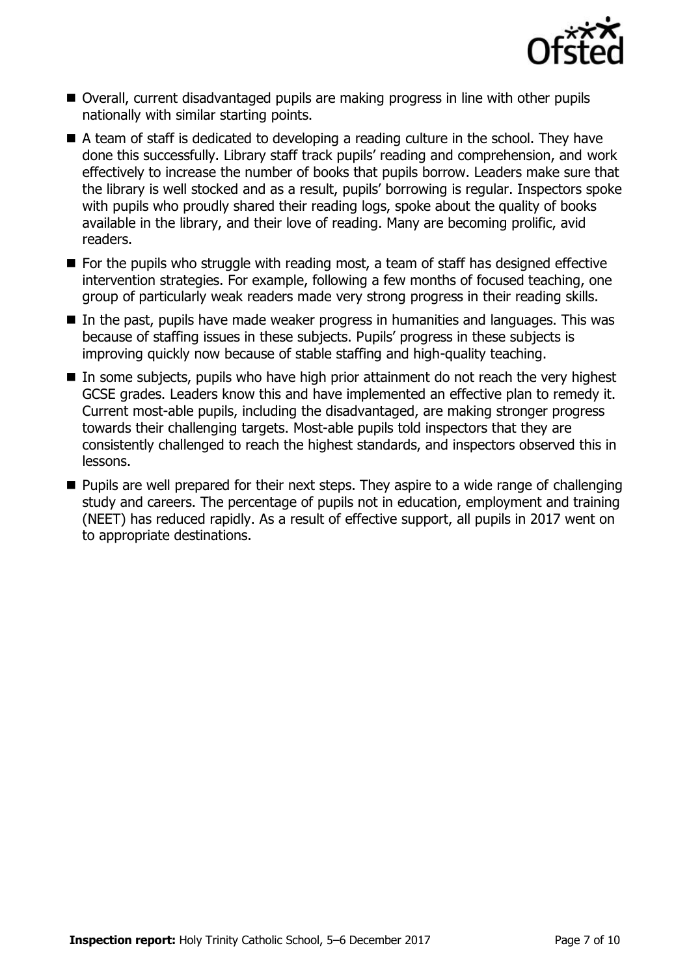

- Overall, current disadvantaged pupils are making progress in line with other pupils nationally with similar starting points.
- A team of staff is dedicated to developing a reading culture in the school. They have done this successfully. Library staff track pupils' reading and comprehension, and work effectively to increase the number of books that pupils borrow. Leaders make sure that the library is well stocked and as a result, pupils' borrowing is regular. Inspectors spoke with pupils who proudly shared their reading logs, spoke about the quality of books available in the library, and their love of reading. Many are becoming prolific, avid readers.
- $\blacksquare$  For the pupils who struggle with reading most, a team of staff has designed effective intervention strategies. For example, following a few months of focused teaching, one group of particularly weak readers made very strong progress in their reading skills.
- In the past, pupils have made weaker progress in humanities and languages. This was because of staffing issues in these subjects. Pupils' progress in these subjects is improving quickly now because of stable staffing and high-quality teaching.
- In some subjects, pupils who have high prior attainment do not reach the very highest GCSE grades. Leaders know this and have implemented an effective plan to remedy it. Current most-able pupils, including the disadvantaged, are making stronger progress towards their challenging targets. Most-able pupils told inspectors that they are consistently challenged to reach the highest standards, and inspectors observed this in lessons.
- **Pupils are well prepared for their next steps. They aspire to a wide range of challenging** study and careers. The percentage of pupils not in education, employment and training (NEET) has reduced rapidly. As a result of effective support, all pupils in 2017 went on to appropriate destinations.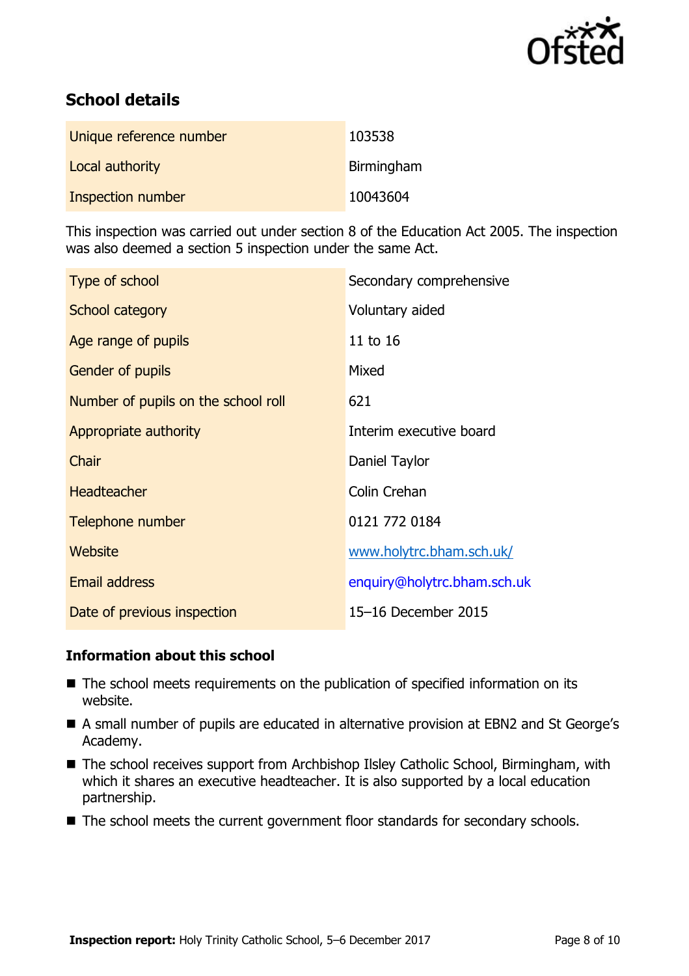

# **School details**

| Unique reference number | 103538     |
|-------------------------|------------|
| Local authority         | Birmingham |
| Inspection number       | 10043604   |

This inspection was carried out under section 8 of the Education Act 2005. The inspection was also deemed a section 5 inspection under the same Act.

| Type of school                      | Secondary comprehensive     |
|-------------------------------------|-----------------------------|
| School category                     | Voluntary aided             |
| Age range of pupils                 | 11 to 16                    |
| Gender of pupils                    | Mixed                       |
| Number of pupils on the school roll | 621                         |
| Appropriate authority               | Interim executive board     |
| Chair                               | Daniel Taylor               |
| <b>Headteacher</b>                  | Colin Crehan                |
| Telephone number                    | 0121 772 0184               |
| Website                             | www.holytrc.bham.sch.uk/    |
| <b>Email address</b>                | enquiry@holytrc.bham.sch.uk |
| Date of previous inspection         | 15-16 December 2015         |

## **Information about this school**

- The school meets requirements on the publication of specified information on its website.
- A small number of pupils are educated in alternative provision at EBN2 and St George's Academy.
- The school receives support from Archbishop Ilsley Catholic School, Birmingham, with which it shares an executive headteacher. It is also supported by a local education partnership.
- The school meets the current government floor standards for secondary schools.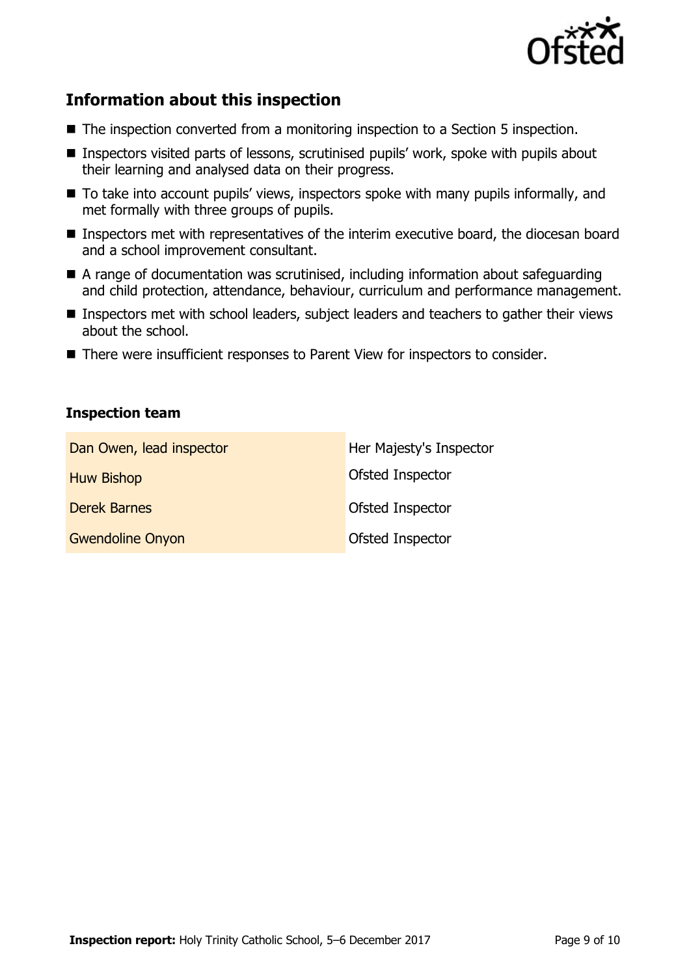

## **Information about this inspection**

- The inspection converted from a monitoring inspection to a Section 5 inspection.
- Inspectors visited parts of lessons, scrutinised pupils' work, spoke with pupils about their learning and analysed data on their progress.
- To take into account pupils' views, inspectors spoke with many pupils informally, and met formally with three groups of pupils.
- **Inspectors met with representatives of the interim executive board, the diocesan board** and a school improvement consultant.
- A range of documentation was scrutinised, including information about safeguarding and child protection, attendance, behaviour, curriculum and performance management.
- **Inspectors met with school leaders, subject leaders and teachers to gather their views** about the school.
- There were insufficient responses to Parent View for inspectors to consider.

#### **Inspection team**

| Dan Owen, lead inspector | Her Majesty's Inspector |
|--------------------------|-------------------------|
| <b>Huw Bishop</b>        | Ofsted Inspector        |
| <b>Derek Barnes</b>      | Ofsted Inspector        |
| <b>Gwendoline Onyon</b>  | Ofsted Inspector        |